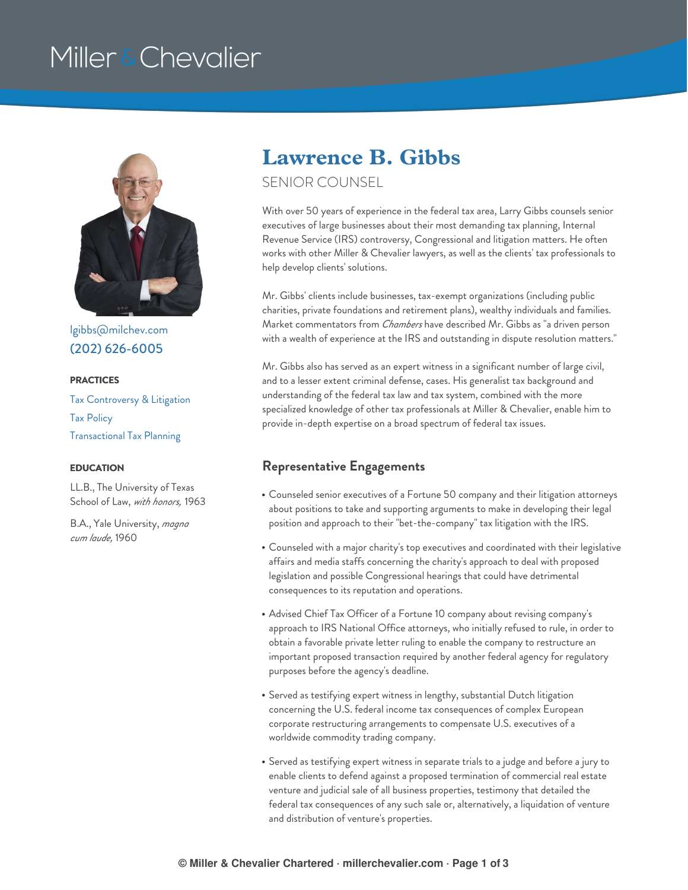# Miller & Chevalier



[lgibbs@milchev.com](mailto:lgibbs@milchev.com) (202) [626-6005](tel:202-626-6005)

#### **PRACTICES**

Tax [Controversy](https://www.millerchevalier.com/practice-area/tax-controversy-litigation) & Litigation Tax [Policy](https://www.millerchevalier.com/practice-area/tax-policy) [Transactional](https://www.millerchevalier.com/practice-area/transactional-tax-planning) Tax Planning

LL.B., The University of Texas School of Law, *with honors,* 1963

B.A., Yale University, *magna cum laude,* 1960

### **Lawrence B. Gibbs**

### SENIOR COUNSEL

With over 50 years of experience in the federal tax area, Larry Gibbs counsels senior executives of large businesses about their most demanding tax planning, Internal Revenue Service (IRS) controversy, Congressional and litigation matters. He often works with other Miller & Chevalier lawyers, as well as the clients' tax professionals to help develop clients' solutions.

Mr. Gibbs' clients include businesses, tax-exempt organizations (including public charities, private foundations and retirement plans), wealthy individuals and families. Market commentators from *Chambers* have described Mr. Gibbs as "a driven person with a wealth of experience at the IRS and outstanding in dispute resolution matters."

Mr. Gibbs also has served as an expert witness in a significant number of large civil, and to a lesser extent criminal defense, cases. His generalist tax background and understanding of the federal tax law and tax system, combined with the more specialized knowledge of other tax professionals at Miller & Chevalier, enable him to provide in-depth expertise on a broad spectrum of federal tax issues.

#### **EDUCATION Representative Engagements**

- Counseled senior executives of a Fortune 50 company and their litigation attorneys about positions to take and supporting arguments to make in developing their legal position and approach to their "bet-the-company" tax litigation with the IRS.
- Counseled with a major charity's top executives and coordinated with their legislative affairs and media staffs concerning the charity's approach to deal with proposed legislation and possible Congressional hearings that could have detrimental consequences to its reputation and operations.
- Advised Chief Tax Officer of a Fortune 10 company about revising company's approach to IRS National Office attorneys, who initially refused to rule, in order to obtain a favorable private letter ruling to enable the company to restructure an important proposed transaction required by another federal agency for regulatory purposes before the agency's deadline.
- Served as testifying expert witness in lengthy, substantial Dutch litigation concerning the U.S. federal income tax consequences of complex European corporate restructuring arrangements to compensate U.S. executives of a worldwide commodity trading company.
- Served as testifying expert witness in separate trials to a judge and before a jury to enable clients to defend against a proposed termination of commercial real estate venture and judicial sale of all business properties, testimony that detailed the federal tax consequences of any such sale or, alternatively, a liquidation of venture and distribution of venture's properties.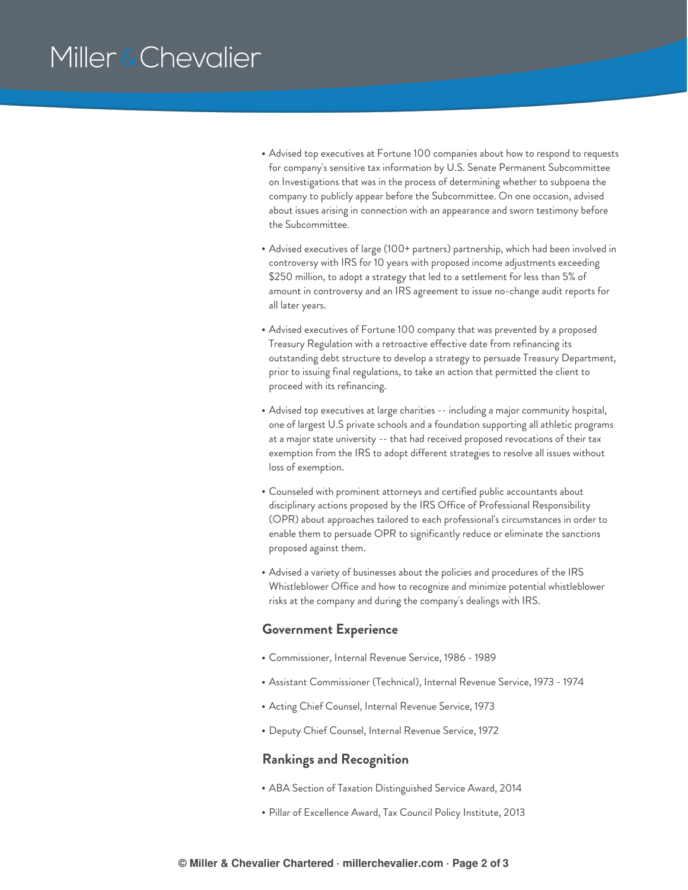## Miller & Chevalier

- Advised top executives at Fortune 100 companies about how to respond to requests for company's sensitive tax information by U.S. Senate Permanent Subcommittee on Investigations that was in the process of determining whether to subpoena the company to publicly appear before the Subcommittee. On one occasion, advised about issues arising in connection with an appearance and sworn testimony before the Subcommittee.
- Advised executives of large (100+ partners) partnership, which had been involved in controversy with IRS for 10 years with proposed income adjustments exceeding \$250 million, to adopt a strategy that led to a settlement for less than 5% of amount in controversy and an IRS agreement to issue no-change audit reports for all later years.
- Advised executives of Fortune 100 company that was prevented by a proposed Treasury Regulation with a retroactive effective date from refinancing its outstanding debt structure to develop a strategy to persuade Treasury Department, prior to issuing final regulations, to take an action that permitted the client to proceed with its refinancing.
- Advised top executives at large charities -- including a major community hospital, one of largest U.S private schools and a foundation supporting all athletic programs at a major state university -- that had received proposed revocations of their tax exemption from the IRS to adopt different strategies to resolve all issues without loss of exemption.
- Counseled with prominent attorneys and certified public accountants about disciplinary actions proposed by the IRS Office of Professional Responsibility (OPR) about approaches tailored to each professional's circumstances in order to enable them to persuade OPR to significantly reduce or eliminate the sanctions proposed against them.
- Advised a variety of businesses about the policies and procedures of the IRS Whistleblower Office and how to recognize and minimize potential whistleblower risks at the company and during the company's dealings with IRS.

#### **Government Experience**

- Commissioner, Internal Revenue Service, 1986 1989
- Assistant Commissioner (Technical), Internal Revenue Service, 1973 1974
- Acting Chief Counsel, Internal Revenue Service, 1973
- Deputy Chief Counsel, Internal Revenue Service, 1972

#### **Rankings and Recognition**

- ABA Section of Taxation Distinguished Service Award, 2014
- Pillar of Excellence Award, Tax Council Policy Institute, 2013